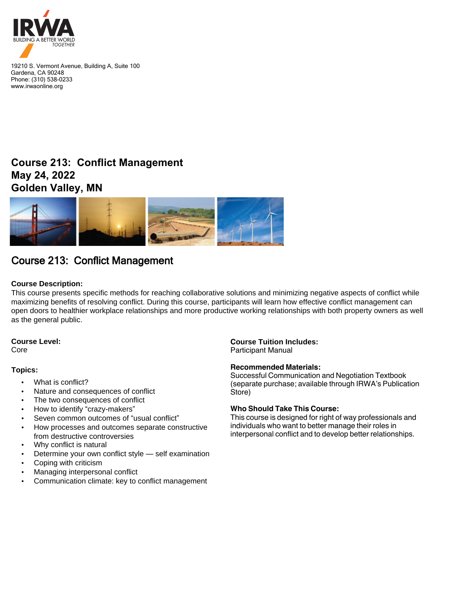

19210 S. Vermont Avenue, Building A, Suite 100 Gardena, CA 90248 Phone: (310) 538-0233 www.irwaonline.org

## **Course 213: Conflict Management May 24, 2022 Golden Valley, MN**



# Course 213: Conflict Management

## **Course Description:**

This course presents specific methods for reaching collaborative solutions and minimizing negative aspects of conflict while maximizing benefits of resolving conflict. During this course, participants will learn how effective conflict management can open doors to healthier workplace relationships and more productive working relationships with both property owners as well as the general public.

## **Course Level:**

Core

## **Topics:**

- What is conflict?
- Nature and consequences of conflict
- The two consequences of conflict
- How to identify "crazy-makers"
- Seven common outcomes of "usual conflict"
- How processes and outcomes separate constructive from destructive controversies
- Why conflict is natural
- Determine your own conflict style self examination
- Coping with criticism
- Managing interpersonal conflict
- Communication climate: key to conflict management

## **Course Tuition Includes:**

Participant Manual

## **Recommended Materials:**

Successful Communication and Negotiation Textbook (separate purchase; available through IRWA's Publication Store)

### **Who Should Take This Course:**

This course is designed for right of way professionals and individuals who want to better manage their roles in interpersonal conflict and to develop better relationships.